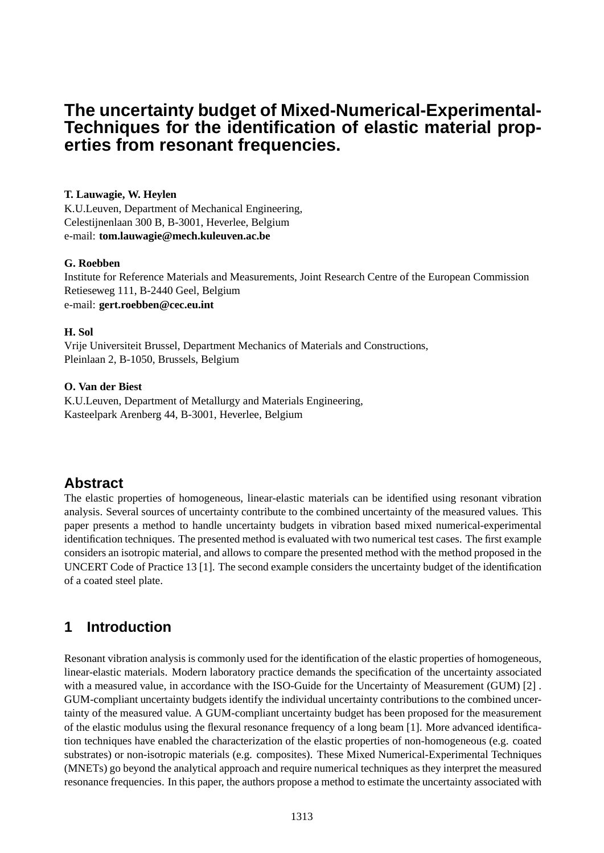# **The uncertainty budget of Mixed-Numerical-Experimental-Techniques for the identification of elastic material properties from resonant frequencies.**

### **T. Lauwagie, W. Heylen**

K.U.Leuven, Department of Mechanical Engineering, Celestijnenlaan 300 B, B-3001, Heverlee, Belgium e-mail: **tom.lauwagie@mech.kuleuven.ac.be**

### **G. Roebben**

Institute for Reference Materials and Measurements, Joint Research Centre of the European Commission Retieseweg 111, B-2440 Geel, Belgium e-mail: **gert.roebben@cec.eu.int**

### **H. Sol**

Vrije Universiteit Brussel, Department Mechanics of Materials and Constructions, Pleinlaan 2, B-1050, Brussels, Belgium

### **O. Van der Biest**

K.U.Leuven, Department of Metallurgy and Materials Engineering, Kasteelpark Arenberg 44, B-3001, Heverlee, Belgium

# **Abstract**

The elastic properties of homogeneous, linear-elastic materials can be identified using resonant vibration analysis. Several sources of uncertainty contribute to the combined uncertainty of the measured values. This paper presents a method to handle uncertainty budgets in vibration based mixed numerical-experimental identification techniques. The presented method is evaluated with two numerical test cases. The first example considers an isotropic material, and allows to compare the presented method with the method proposed in the UNCERT Code of Practice 13 [1]. The second example considers the uncertainty budget of the identification of a coated steel plate.

# **1 Introduction**

Resonant vibration analysis is commonly used for the identification of the elastic properties of homogeneous, linear-elastic materials. Modern laboratory practice demands the specification of the uncertainty associated with a measured value, in accordance with the ISO-Guide for the Uncertainty of Measurement (GUM) [2] . GUM-compliant uncertainty budgets identify the individual uncertainty contributions to the combined uncertainty of the measured value. A GUM-compliant uncertainty budget has been proposed for the measurement of the elastic modulus using the flexural resonance frequency of a long beam [1]. More advanced identification techniques have enabled the characterization of the elastic properties of non-homogeneous (e.g. coated substrates) or non-isotropic materials (e.g. composites). These Mixed Numerical-Experimental Techniques (MNETs) go beyond the analytical approach and require numerical techniques as they interpret the measured resonance frequencies. In this paper, the authors propose a method to estimate the uncertainty associated with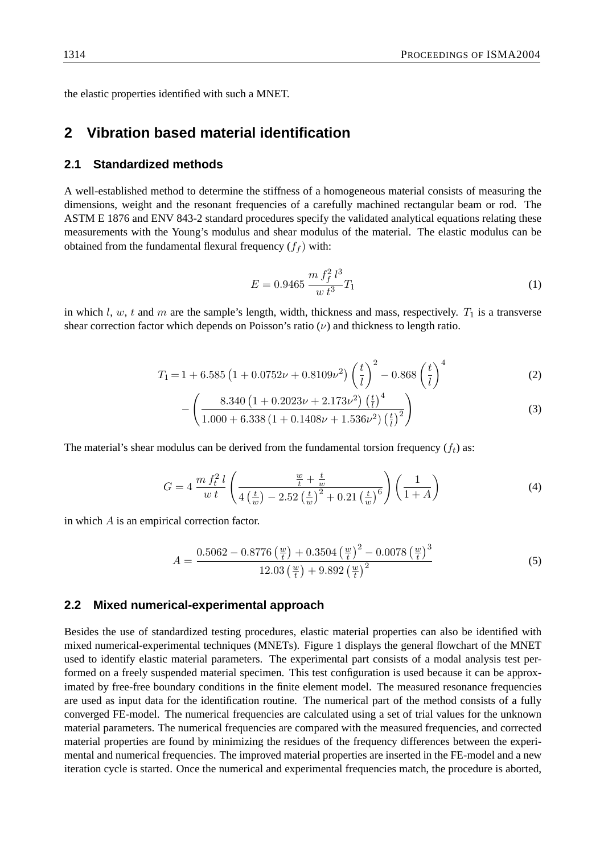the elastic properties identified with such a MNET.

## **2 Vibration based material identification**

### **2.1 Standardized methods**

A well-established method to determine the stiffness of a homogeneous material consists of measuring the dimensions, weight and the resonant frequencies of a carefully machined rectangular beam or rod. The ASTM E 1876 and ENV 843-2 standard procedures specify the validated analytical equations relating these measurements with the Young's modulus and shear modulus of the material. The elastic modulus can be obtained from the fundamental flexural frequency  $(f_f)$  with:

$$
E = 0.9465 \frac{m f_f^2 l^3}{w t^3} T_1 \tag{1}
$$

in which l, w, t and m are the sample's length, width, thickness and mass, respectively.  $T_1$  is a transverse shear correction factor which depends on Poisson's ratio  $(\nu)$  and thickness to length ratio.

$$
T_1 = 1 + 6.585 \left(1 + 0.0752 \nu + 0.8109 \nu^2\right) \left(\frac{t}{l}\right)^2 - 0.868 \left(\frac{t}{l}\right)^4 \tag{2}
$$

$$
-\left(\frac{8.340\left(1+0.2023\nu+2.173\nu^{2}\right)\left(\frac{t}{l}\right)^{4}}{1.000+6.338\left(1+0.1408\nu+1.536\nu^{2}\right)\left(\frac{t}{l}\right)^{2}}\right)
$$
(3)

The material's shear modulus can be derived from the fundamental torsion frequency  $(f_t)$  as:

$$
G = 4 \frac{m f_t^2 l}{w t} \left( \frac{\frac{w}{t} + \frac{t}{w}}{4 \left( \frac{t}{w} \right) - 2.52 \left( \frac{t}{w} \right)^2 + 0.21 \left( \frac{t}{w} \right)^6} \right) \left( \frac{1}{1 + A} \right)
$$
(4)

in which A is an empirical correction factor.

$$
A = \frac{0.5062 - 0.8776 \left(\frac{w}{t}\right) + 0.3504 \left(\frac{w}{t}\right)^2 - 0.0078 \left(\frac{w}{t}\right)^3}{12.03 \left(\frac{w}{t}\right) + 9.892 \left(\frac{w}{t}\right)^2}
$$
(5)

#### **2.2 Mixed numerical-experimental approach**

Besides the use of standardized testing procedures, elastic material properties can also be identified with mixed numerical-experimental techniques (MNETs). Figure 1 displays the general flowchart of the MNET used to identify elastic material parameters. The experimental part consists of a modal analysis test performed on a freely suspended material specimen. This test configuration is used because it can be approximated by free-free boundary conditions in the finite element model. The measured resonance frequencies are used as input data for the identification routine. The numerical part of the method consists of a fully converged FE-model. The numerical frequencies are calculated using a set of trial values for the unknown material parameters. The numerical frequencies are compared with the measured frequencies, and corrected material properties are found by minimizing the residues of the frequency differences between the experimental and numerical frequencies. The improved material properties are inserted in the FE-model and a new iteration cycle is started. Once the numerical and experimental frequencies match, the procedure is aborted,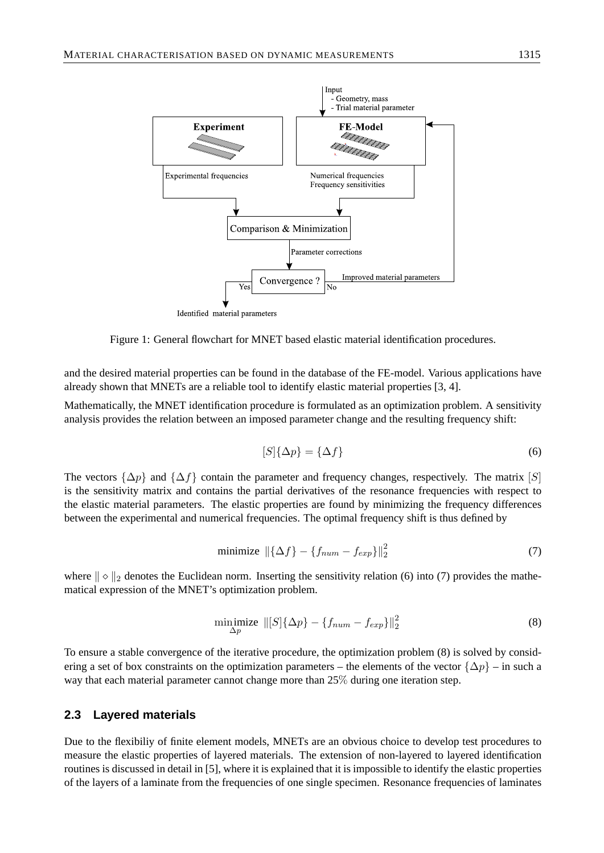

and the desired material properties can be found in the database of the FE-model. Various applications have already shown that MNETs are a reliable tool to identify elastic material properties [3, 4].

Figure 1: General flowchart for MNET based elastic material identification procedures.

Mathematically, the MNET identification procedure is formulated as an optimization problem. A sensitivity analysis provides the relation between an imposed parameter change and the resulting frequency shift:

$$
[S]\{\Delta p\} = \{\Delta f\} \tag{6}
$$

The vectors  $\{\Delta p\}$  and  $\{\Delta f\}$  contain the parameter and frequency changes, respectively. The matrix [S] is the sensitivity matrix and contains the partial derivatives of the resonance frequencies with respect to the elastic material parameters. The elastic properties are found by minimizing the frequency differences between the experimental and numerical frequencies. The optimal frequency shift is thus defined by

$$
\text{minimize } \left\| \{ \Delta f \} - \{ f_{num} - f_{exp} \} \right\|_2^2 \tag{7}
$$

where  $\|\circ\|_2$  denotes the Euclidean norm. Inserting the sensitivity relation (6) into (7) provides the mathematical expression of the MNET's optimization problem.

$$
\underset{\Delta p}{\text{minimize}} \ \| [S] \{\Delta p\} - \{ f_{num} - f_{exp} \} \|_2^2 \tag{8}
$$

To ensure a stable convergence of the iterative procedure, the optimization problem (8) is solved by considering a set of box constraints on the optimization parameters – the elements of the vector  $\{\Delta p\}$  – in such a way that each material parameter cannot change more than 25% during one iteration step.

#### **2.3 Layered materials**

Due to the flexibiliy of finite element models, MNETs are an obvious choice to develop test procedures to measure the elastic properties of layered materials. The extension of non-layered to layered identification routines is discussed in detail in [5], where it is explained that it is impossible to identify the elastic properties of the layers of a laminate from the frequencies of one single specimen. Resonance frequencies of laminates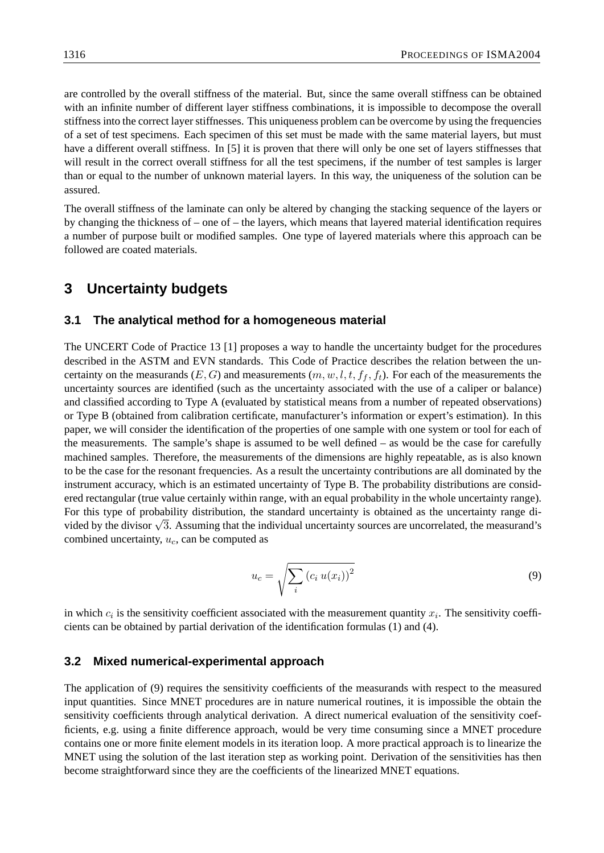are controlled by the overall stiffness of the material. But, since the same overall stiffness can be obtained with an infinite number of different layer stiffness combinations, it is impossible to decompose the overall stiffness into the correct layer stiffnesses. This uniqueness problem can be overcome by using the frequencies of a set of test specimens. Each specimen of this set must be made with the same material layers, but must have a different overall stiffness. In [5] it is proven that there will only be one set of layers stiffnesses that will result in the correct overall stiffness for all the test specimens, if the number of test samples is larger than or equal to the number of unknown material layers. In this way, the uniqueness of the solution can be assured.

The overall stiffness of the laminate can only be altered by changing the stacking sequence of the layers or by changing the thickness of – one of – the layers, which means that layered material identification requires a number of purpose built or modified samples. One type of layered materials where this approach can be followed are coated materials.

# **3 Uncertainty budgets**

#### **3.1 The analytical method for a homogeneous material**

The UNCERT Code of Practice 13 [1] proposes a way to handle the uncertainty budget for the procedures described in the ASTM and EVN standards. This Code of Practice describes the relation between the uncertainty on the measurands  $(E, G)$  and measurements  $(m, w, l, t, f_f, f_t)$ . For each of the measurements the uncertainty sources are identified (such as the uncertainty associated with the use of a caliper or balance) and classified according to Type A (evaluated by statistical means from a number of repeated observations) or Type B (obtained from calibration certificate, manufacturer's information or expert's estimation). In this paper, we will consider the identification of the properties of one sample with one system or tool for each of the measurements. The sample's shape is assumed to be well defined – as would be the case for carefully machined samples. Therefore, the measurements of the dimensions are highly repeatable, as is also known to be the case for the resonant frequencies. As a result the uncertainty contributions are all dominated by the instrument accuracy, which is an estimated uncertainty of Type B. The probability distributions are considered rectangular (true value certainly within range, with an equal probability in the whole uncertainty range). For this type of probability distribution, the standard uncertainty is obtained as the uncertainty range di-For this type of probability distribution, the standard uncertainty is obtained as the uncertainty range divided by the divisor  $\sqrt{3}$ . Assuming that the individual uncertainty sources are uncorrelated, the measurand's combined uncertainty,  $u_c$ , can be computed as

$$
u_c = \sqrt{\sum_i (c_i u(x_i))^2}
$$
\n(9)

in which  $c_i$  is the sensitivity coefficient associated with the measurement quantity  $x_i$ . The sensitivity coefficients can be obtained by partial derivation of the identification formulas (1) and (4).

#### **3.2 Mixed numerical-experimental approach**

The application of (9) requires the sensitivity coefficients of the measurands with respect to the measured input quantities. Since MNET procedures are in nature numerical routines, it is impossible the obtain the sensitivity coefficients through analytical derivation. A direct numerical evaluation of the sensitivity coefficients, e.g. using a finite difference approach, would be very time consuming since a MNET procedure contains one or more finite element models in its iteration loop. A more practical approach is to linearize the MNET using the solution of the last iteration step as working point. Derivation of the sensitivities has then become straightforward since they are the coefficients of the linearized MNET equations.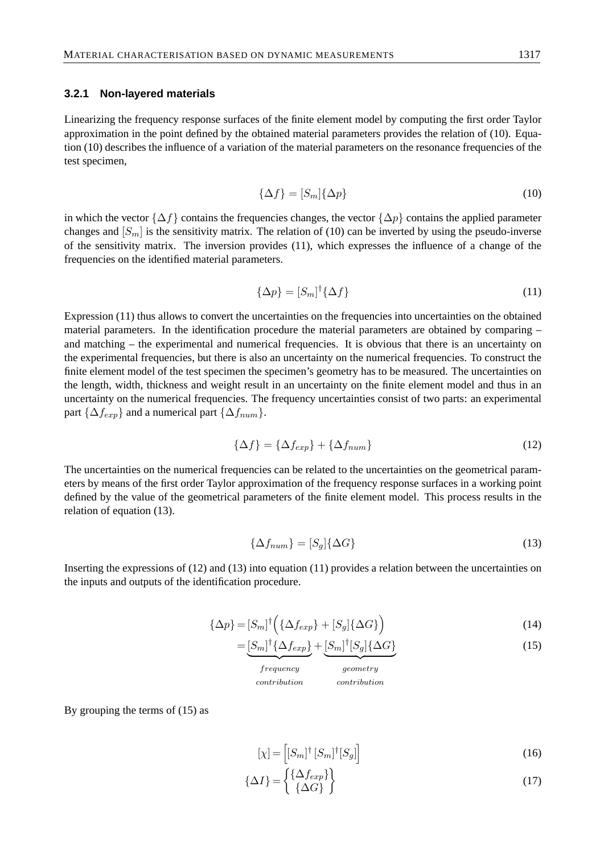#### **3.2.1 Non-layered materials**

Linearizing the frequency response surfaces of the finite element model by computing the first order Taylor approximation in the point defined by the obtained material parameters provides the relation of (10). Equation (10) describes the influence of a variation of the material parameters on the resonance frequencies of the test specimen,

$$
\{\Delta f\} = [S_m] \{\Delta p\} \tag{10}
$$

in which the vector  $\{\Delta f\}$  contains the frequencies changes, the vector  $\{\Delta p\}$  contains the applied parameter changes and  $[S_m]$  is the sensitivity matrix. The relation of (10) can be inverted by using the pseudo-inverse of the sensitivity matrix. The inversion provides (11), which expresses the influence of a change of the frequencies on the identified material parameters.

$$
\{\Delta p\} = [S_m]^\dagger \{\Delta f\} \tag{11}
$$

Expression (11) thus allows to convert the uncertainties on the frequencies into uncertainties on the obtained material parameters. In the identification procedure the material parameters are obtained by comparing – and matching – the experimental and numerical frequencies. It is obvious that there is an uncertainty on the experimental frequencies, but there is also an uncertainty on the numerical frequencies. To construct the finite element model of the test specimen the specimen's geometry has to be measured. The uncertainties on the length, width, thickness and weight result in an uncertainty on the finite element model and thus in an uncertainty on the numerical frequencies. The frequency uncertainties consist of two parts: an experimental part { $\Delta f_{exp}$ } and a numerical part { $\Delta f_{num}$ }.

$$
\{\Delta f\} = \{\Delta f_{exp}\} + \{\Delta f_{num}\}\tag{12}
$$

The uncertainties on the numerical frequencies can be related to the uncertainties on the geometrical parameters by means of the first order Taylor approximation of the frequency response surfaces in a working point defined by the value of the geometrical parameters of the finite element model. This process results in the relation of equation (13).

$$
\{\Delta f_{num}\} = [S_g] \{\Delta G\} \tag{13}
$$

Inserting the expressions of (12) and (13) into equation (11) provides a relation between the uncertainties on the inputs and outputs of the identification procedure.

$$
\{\Delta p\} = [S_m]^\dagger \left( \{\Delta f_{exp}\} + [S_g] \{\Delta G\} \right) \tag{14}
$$

$$
=\underbrace{[S_m]^{\dagger}\{\Delta f_{exp}\}}_{\cdot}+\underbrace{[S_m]^{\dagger}[S_g]\{\Delta G\}}_{\cdot}
$$
\n(15)

| frequency    | geometry     |
|--------------|--------------|
| contribution | contribution |

By grouping the terms of (15) as

$$
[\chi] = \left[ [S_m]^\dagger [S_m]^\dagger [S_g] \right] \tag{16}
$$

$$
\{\Delta I\} = \begin{Bmatrix} \{\Delta f_{exp}\} \\ \{\Delta G\} \end{Bmatrix}
$$
 (17)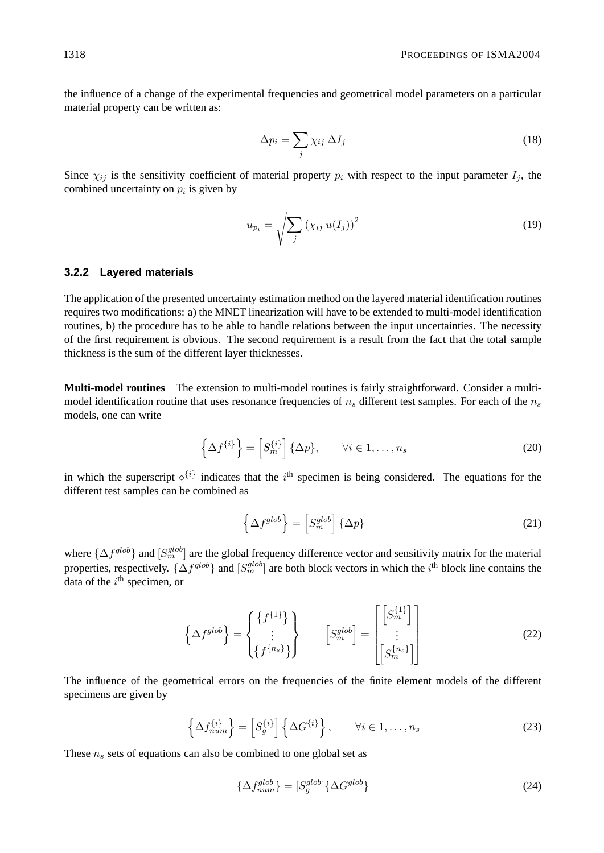the influence of a change of the experimental frequencies and geometrical model parameters on a particular material property can be written as:

$$
\Delta p_i = \sum_j \chi_{ij} \, \Delta I_j \tag{18}
$$

Since  $\chi_{ij}$  is the sensitivity coefficient of material property  $p_i$  with respect to the input parameter  $I_j$ , the combined uncertainty on  $p_i$  is given by

$$
u_{p_i} = \sqrt{\sum_j (\chi_{ij} u(I_j))^2}
$$
 (19)

#### **3.2.2 Layered materials**

The application of the presented uncertainty estimation method on the layered material identification routines requires two modifications: a) the MNET linearization will have to be extended to multi-model identification routines, b) the procedure has to be able to handle relations between the input uncertainties. The necessity of the first requirement is obvious. The second requirement is a result from the fact that the total sample thickness is the sum of the different layer thicknesses.

**Multi-model routines** The extension to multi-model routines is fairly straightforward. Consider a multimodel identification routine that uses resonance frequencies of  $n<sub>s</sub>$  different test samples. For each of the  $n<sub>s</sub>$ models, one can write

$$
\left\{\Delta f^{\{i\}}\right\} = \left[S_m^{\{i\}}\right] \{\Delta p\}, \qquad \forall i \in 1, \dots, n_s \tag{20}
$$

in which the superscript  $\diamond^{i}$  indicates that the i<sup>th</sup> specimen is being considered. The equations for the different test samples can be combined as

$$
\left\{\Delta f^{glob}\right\} = \left[S_m^{glob}\right] \left\{\Delta p\right\} \tag{21}
$$

where  $\{\Delta f^{glob}\}$  and  $[S_m^{glob}]$  are the global frequency difference vector and sensitivity matrix for the material properties, respectively.  $\{\Delta f^{glob}\}$  and  $[S_m^{glob}]$  are both block vectors in which the i<sup>th</sup> block line contains the data of the  $i^{\text{th}}$  specimen, or

$$
\left\{\Delta f^{glob}\right\} = \begin{Bmatrix} \left\{f^{11}\right\} \\ \vdots \\ \left\{f^{n_s}\right\} \end{Bmatrix} \qquad \left[S_m^{glob}\right] = \begin{bmatrix} \left[S_m^{11}\right] \\ \vdots \\ \left[S_m^{(n_s)}\right] \end{bmatrix} \qquad (22)
$$

The influence of the geometrical errors on the frequencies of the finite element models of the different specimens are given by

$$
\left\{\Delta f_{num}^{\{i\}}\right\} = \left[S_g^{\{i\}}\right] \left\{\Delta G^{\{i\}}\right\}, \qquad \forall i \in 1, \dots, n_s \tag{23}
$$

These  $n<sub>s</sub>$  sets of equations can also be combined to one global set as

$$
\{\Delta f_{num}^{glob}\} = [S_g^{glob}]\{\Delta G^{glob}\}\}\tag{24}
$$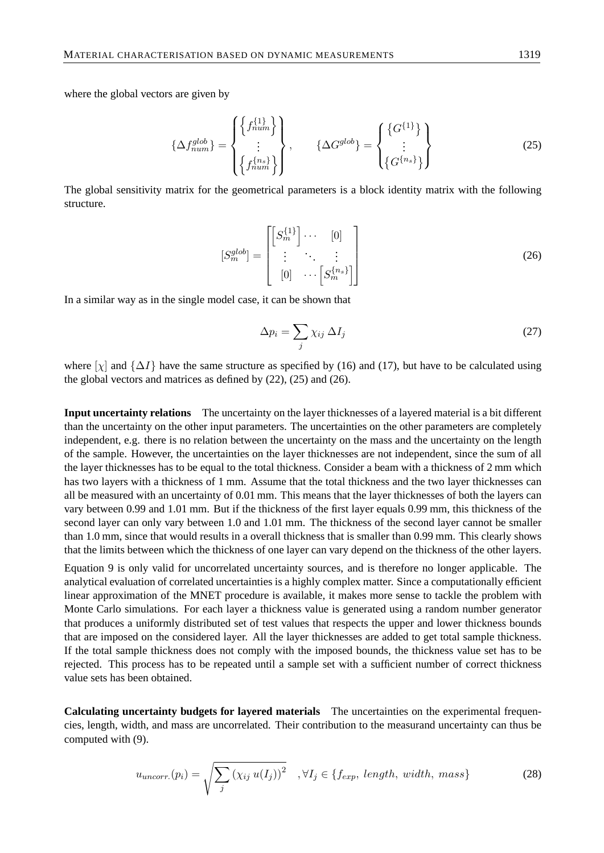where the global vectors are given by

$$
\{\Delta f_{num}^{glob}\} = \begin{Bmatrix} \left\{f_{num}^{\{1\}}\right\} \\ \vdots \\ \left\{f_{num}^{\{n_s\}}\right\} \end{Bmatrix}, \qquad \{\Delta G^{glob}\} = \begin{Bmatrix} \left\{G^{\{1\}}\right\} \\ \vdots \\ \left\{G^{\{n_s\}}\right\} \end{Bmatrix}
$$
 (25)

The global sensitivity matrix for the geometrical parameters is a block identity matrix with the following structure.

$$
[S_m^{glob}] = \begin{bmatrix} \begin{bmatrix} S_m^{\{1\}} \end{bmatrix} \cdots & [0] \\ \vdots & \ddots & \vdots \\ [0] & \cdots & [S_m^{\{n_s\}}] \end{bmatrix}
$$
 (26)

In a similar way as in the single model case, it can be shown that

$$
\Delta p_i = \sum_j \chi_{ij} \, \Delta I_j \tag{27}
$$

where [ $\chi$ ] and  $\{\Delta I\}$  have the same structure as specified by (16) and (17), but have to be calculated using the global vectors and matrices as defined by (22), (25) and (26).

**Input uncertainty relations** The uncertainty on the layer thicknesses of a layered material is a bit different than the uncertainty on the other input parameters. The uncertainties on the other parameters are completely independent, e.g. there is no relation between the uncertainty on the mass and the uncertainty on the length of the sample. However, the uncertainties on the layer thicknesses are not independent, since the sum of all the layer thicknesses has to be equal to the total thickness. Consider a beam with a thickness of 2 mm which has two layers with a thickness of 1 mm. Assume that the total thickness and the two layer thicknesses can all be measured with an uncertainty of 0.01 mm. This means that the layer thicknesses of both the layers can vary between 0.99 and 1.01 mm. But if the thickness of the first layer equals 0.99 mm, this thickness of the second layer can only vary between 1.0 and 1.01 mm. The thickness of the second layer cannot be smaller than 1.0 mm, since that would results in a overall thickness that is smaller than 0.99 mm. This clearly shows that the limits between which the thickness of one layer can vary depend on the thickness of the other layers.

Equation 9 is only valid for uncorrelated uncertainty sources, and is therefore no longer applicable. The analytical evaluation of correlated uncertainties is a highly complex matter. Since a computationally efficient linear approximation of the MNET procedure is available, it makes more sense to tackle the problem with Monte Carlo simulations. For each layer a thickness value is generated using a random number generator that produces a uniformly distributed set of test values that respects the upper and lower thickness bounds that are imposed on the considered layer. All the layer thicknesses are added to get total sample thickness. If the total sample thickness does not comply with the imposed bounds, the thickness value set has to be rejected. This process has to be repeated until a sample set with a sufficient number of correct thickness value sets has been obtained.

**Calculating uncertainty budgets for layered materials** The uncertainties on the experimental frequencies, length, width, and mass are uncorrelated. Their contribution to the measurand uncertainty can thus be computed with (9).

$$
u_{uncorr.}(p_i) = \sqrt{\sum_{j} (\chi_{ij} u(I_j))^2}, \ \forall I_j \in \{f_{exp,} \ length, \ width, \ mass\}
$$
 (28)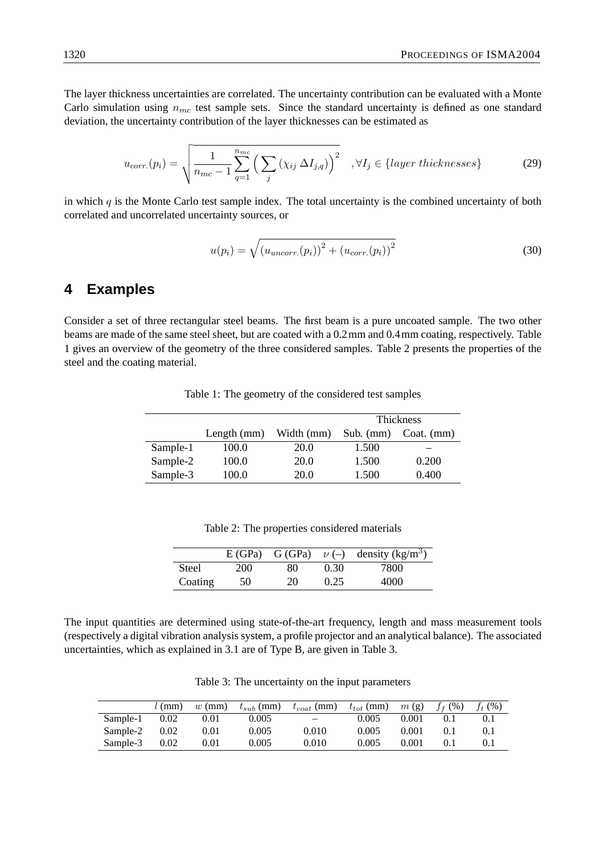The layer thickness uncertainties are correlated. The uncertainty contribution can be evaluated with a Monte Carlo simulation using  $n_{mc}$  test sample sets. Since the standard uncertainty is defined as one standard deviation, the uncertainty contribution of the layer thicknesses can be estimated as

$$
u_{corr.}(p_i) = \sqrt{\frac{1}{n_{mc} - 1} \sum_{q=1}^{n_{mc}} \left( \sum_j (\chi_{ij} \Delta I_{j,q}) \right)^2}, \forall I_j \in \{layer\ thicknesses\}
$$
 (29)

in which  $q$  is the Monte Carlo test sample index. The total uncertainty is the combined uncertainty of both correlated and uncorrelated uncertainty sources, or

$$
u(p_i) = \sqrt{(u_{\text{uncorr.}}(p_i))^2 + (u_{\text{corr.}}(p_i))^2}
$$
\n(30)

### **4 Examples**

Consider a set of three rectangular steel beams. The first beam is a pure uncoated sample. The two other beams are made of the same steel sheet, but are coated with a 0.2mm and 0.4mm coating, respectively. Table 1 gives an overview of the geometry of the three considered samples. Table 2 presents the properties of the steel and the coating material.

|          |               |            |             | Thickness    |
|----------|---------------|------------|-------------|--------------|
|          | Length $(mm)$ | Width (mm) | Sub. $(mm)$ | $Coat.$ (mm) |
| Sample-1 | 100.0         | 20.0       | 1.500       |              |
| Sample-2 | 100.0         | 20.0       | 1.500       | 0.200        |
| Sample-3 | 100.0         | 20.0       | 1.500       | 0.400        |

Table 1: The geometry of the considered test samples

|              |     |    |      | E (GPa) G (GPa) $\nu$ (-) density (kg/m <sup>3</sup> ) |
|--------------|-----|----|------|--------------------------------------------------------|
| <b>Steel</b> | 200 | 80 | 0.30 | 7800                                                   |
| Coating      | 50  | 20 | 0.25 | 4000                                                   |

Table 2: The properties considered materials

The input quantities are determined using state-of-the-art frequency, length and mass measurement tools (respectively a digital vibration analysis system, a profile projector and an analytical balance). The associated uncertainties, which as explained in 3.1 are of Type B, are given in Table 3.

| Table 3: The uncertainty on the input parameters |  |
|--------------------------------------------------|--|
|--------------------------------------------------|--|

|          | $l$ (mm) | $w$ (mm) | $t_{sub}$ (mm) | $t_{coat}$ (mm) | $t_{tot}$ (mm) | m(g)  | $f_f (96)$ | $f_{t}$ (%) |
|----------|----------|----------|----------------|-----------------|----------------|-------|------------|-------------|
| Sample-1 | 0.02     | 0.01     | 0.005          | $-$             | 0.005          | 0.001 | 0.1        |             |
| Sample-2 | 0.02     | 0.01     | 0.005          | 0.010           | 0.005          | 0.001 | 0.1        | 0.1         |
| Sample-3 | 0.02     | 0.01     | 0.005          | 0.010           | 0.005          | 0.001 |            |             |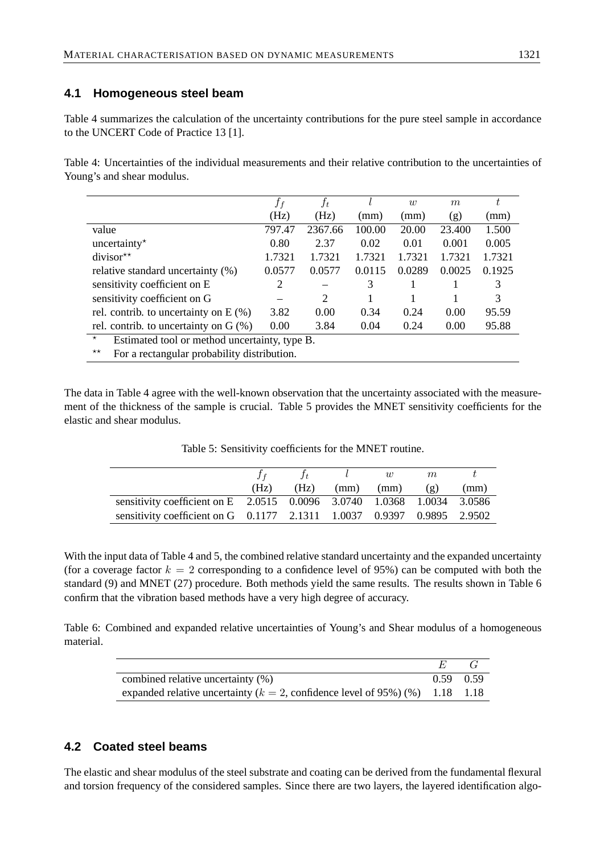### **4.1 Homogeneous steel beam**

Table 4 summarizes the calculation of the uncertainty contributions for the pure steel sample in accordance to the UNCERT Code of Practice 13 [1].

Table 4: Uncertainties of the individual measurements and their relative contribution to the uncertainties of Young's and shear modulus.

|                                                             | $f_f$          | $f_t$   |        | $\overline{w}$ | m      | t      |  |
|-------------------------------------------------------------|----------------|---------|--------|----------------|--------|--------|--|
|                                                             | (Hz)           | (Hz)    | (mm)   | (mm)           | (g)    | (mm)   |  |
| value                                                       | 797.47         | 2367.66 | 100.00 | 20.00          | 23.400 | 1.500  |  |
| uncertainty $\star$                                         | 0.80           | 2.37    | 0.02   | 0.01           | 0.001  | 0.005  |  |
| divisor $\star\star$                                        | 1.7321         | 1.7321  | 1.7321 | 1.7321         | 1.7321 | 1.7321 |  |
| relative standard uncertainty (%)                           | 0.0577         | 0.0577  | 0.0115 | 0.0289         | 0.0025 | 0.1925 |  |
| sensitivity coefficient on E                                | $\overline{2}$ |         | 3      |                |        | 3      |  |
| sensitivity coefficient on G                                |                | 2       |        |                |        | 3      |  |
| rel. contrib. to uncertainty on $E(\%)$                     | 3.82           | 0.00    | 0.34   | 0.24           | 0.00   | 95.59  |  |
| rel. contrib. to uncertainty on $G(\%)$                     | 0.00           | 3.84    | 0.04   | 0.24           | 0.00   | 95.88  |  |
| $\star$<br>Estimated tool or method uncertainty, type B.    |                |         |        |                |        |        |  |
| $\star\star$<br>For a rectangular probability distribution. |                |         |        |                |        |        |  |

The data in Table 4 agree with the well-known observation that the uncertainty associated with the measurement of the thickness of the sample is crucial. Table 5 provides the MNET sensitivity coefficients for the elastic and shear modulus.

|                                                                        |      |      |      | w    | m                        |      |
|------------------------------------------------------------------------|------|------|------|------|--------------------------|------|
|                                                                        | (Hz) | (Hz) | (mm) | (mm) | $\left( \varrho \right)$ | (mm) |
| sensitivity coefficient on E 2.0515 0.0096 3.0740 1.0368 1.0034 3.0586 |      |      |      |      |                          |      |
| sensitivity coefficient on G 0.1177 2.1311 1.0037 0.9397 0.9895 2.9502 |      |      |      |      |                          |      |

Table 5: Sensitivity coefficients for the MNET routine.

With the input data of Table 4 and 5, the combined relative standard uncertainty and the expanded uncertainty (for a coverage factor  $k = 2$  corresponding to a confidence level of 95%) can be computed with both the standard (9) and MNET (27) procedure. Both methods yield the same results. The results shown in Table 6 confirm that the vibration based methods have a very high degree of accuracy.

Table 6: Combined and expanded relative uncertainties of Young's and Shear modulus of a homogeneous material.

| combined relative uncertainty (%)                                                | $0.59$ 0.59 |  |
|----------------------------------------------------------------------------------|-------------|--|
| expanded relative uncertainty ( $k = 2$ , confidence level of 95%) (%) 1.18 1.18 |             |  |

## **4.2 Coated steel beams**

The elastic and shear modulus of the steel substrate and coating can be derived from the fundamental flexural and torsion frequency of the considered samples. Since there are two layers, the layered identification algo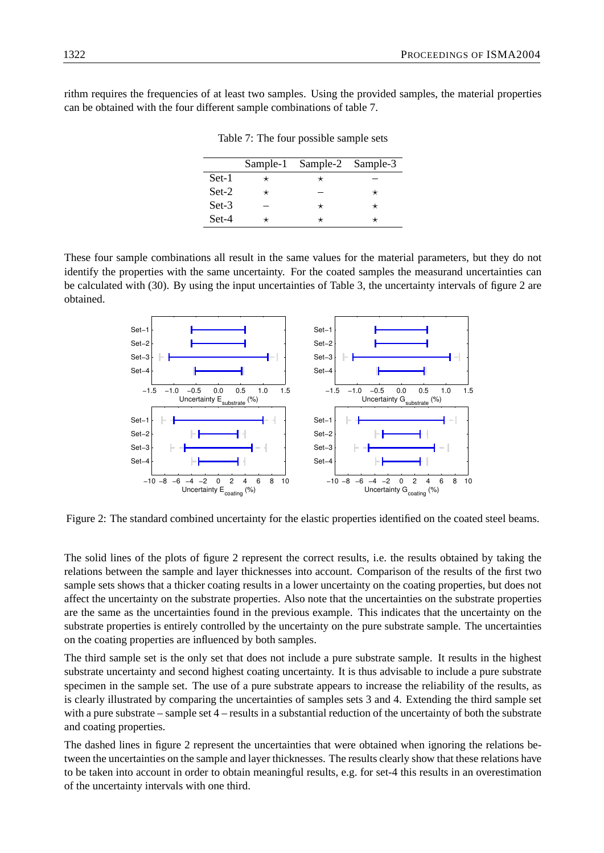rithm requires the frequencies of at least two samples. Using the provided samples, the material properties can be obtained with the four different sample combinations of table 7.

|         | Sample-1 Sample-2 Sample-3 |  |
|---------|----------------------------|--|
| Set-1   |                            |  |
| $Set-2$ |                            |  |
| $Set-3$ |                            |  |
| Set-4   |                            |  |

Table 7: The four possible sample sets

These four sample combinations all result in the same values for the material parameters, but they do not identify the properties with the same uncertainty. For the coated samples the measurand uncertainties can be calculated with (30). By using the input uncertainties of Table 3, the uncertainty intervals of figure 2 are obtained.



Figure 2: The standard combined uncertainty for the elastic properties identified on the coated steel beams.

The solid lines of the plots of figure 2 represent the correct results, i.e. the results obtained by taking the relations between the sample and layer thicknesses into account. Comparison of the results of the first two sample sets shows that a thicker coating results in a lower uncertainty on the coating properties, but does not affect the uncertainty on the substrate properties. Also note that the uncertainties on the substrate properties are the same as the uncertainties found in the previous example. This indicates that the uncertainty on the substrate properties is entirely controlled by the uncertainty on the pure substrate sample. The uncertainties on the coating properties are influenced by both samples.

The third sample set is the only set that does not include a pure substrate sample. It results in the highest substrate uncertainty and second highest coating uncertainty. It is thus advisable to include a pure substrate specimen in the sample set. The use of a pure substrate appears to increase the reliability of the results, as is clearly illustrated by comparing the uncertainties of samples sets 3 and 4. Extending the third sample set with a pure substrate – sample set 4 – results in a substantial reduction of the uncertainty of both the substrate and coating properties.

The dashed lines in figure 2 represent the uncertainties that were obtained when ignoring the relations between the uncertainties on the sample and layer thicknesses. The results clearly show that these relations have to be taken into account in order to obtain meaningful results, e.g. for set-4 this results in an overestimation of the uncertainty intervals with one third.